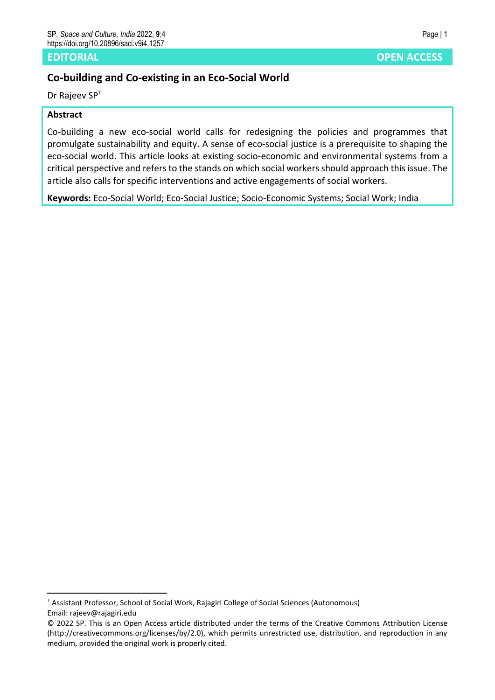### **EDITORIAL OPEN ACCESS**

# **Co-building and Co-existing in an Eco-Social World**

Dr Rajeev SP†

## **Abstract**

Co-building a new eco-social world calls for redesigning the policies and programmes that promulgate sustainability and equity. A sense of eco-social justice is a prerequisite to shaping the eco-social world. This article looks at existing socio-economic and environmental systems from a critical perspective and refers to the stands on which social workers should approach this issue. The article also calls for specific interventions and active engagements of social workers.

**Keywords:** Eco-Social World; Eco-Social Justice; Socio-Economic Systems; Social Work; India

<sup>†</sup> Assistant Professor, School of Social Work, Rajagiri College of Social Sciences (Autonomous) Email: rajeev@rajagiri.edu

<sup>© 2022</sup> SP. This is an Open Access article distributed under the terms of the Creative Commons Attribution License (http://creativecommons.org/licenses/by/2.0), which permits unrestricted use, distribution, and reproduction in any medium, provided the original work is properly cited.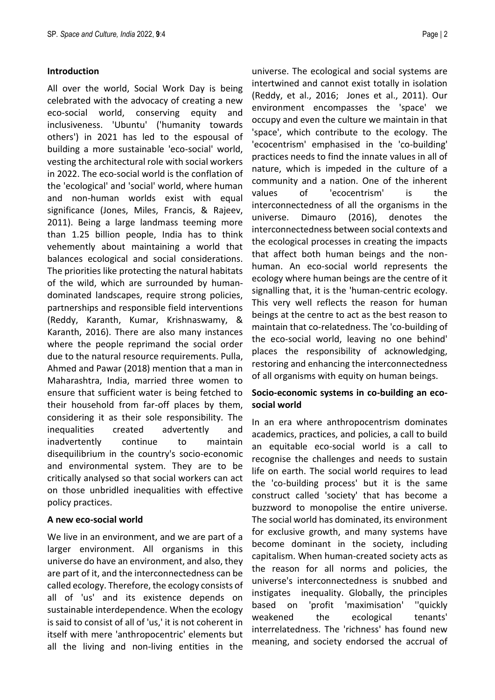#### **Introduction**

All over the world, Social Work Day is being celebrated with the advocacy of creating a new eco-social world, conserving equity and inclusiveness. 'Ubuntu' ('humanity towards others') in 2021 has led to the espousal of building a more sustainable 'eco-social' world, vesting the architectural role with social workers in 2022. The eco-social world is the conflation of the 'ecological' and 'social' world, where human and non-human worlds exist with equal significance (Jones, Miles, Francis, & Rajeev, 2011). Being a large landmass teeming more than 1.25 billion people, India has to think vehemently about maintaining a world that balances ecological and social considerations. The priorities like protecting the natural habitats of the wild, which are surrounded by humandominated landscapes, require strong policies, partnerships and responsible field interventions (Reddy, Karanth, Kumar, Krishnaswamy, & Karanth, 2016). There are also many instances where the people reprimand the social order due to the natural resource requirements. Pulla, Ahmed and Pawar (2018) mention that a man in Maharashtra, India, married three women to ensure that sufficient water is being fetched to their household from far-off places by them, considering it as their sole responsibility. The inequalities created advertently and inadvertently continue to maintain disequilibrium in the country's socio-economic and environmental system. They are to be critically analysed so that social workers can act on those unbridled inequalities with effective policy practices.

#### **A new eco-social world**

We live in an environment, and we are part of a larger environment. All organisms in this universe do have an environment, and also, they are part of it, and the interconnectedness can be called ecology. Therefore, the ecology consists of all of 'us' and its existence depends on sustainable interdependence. When the ecology is said to consist of all of 'us,' it is not coherent in itself with mere 'anthropocentric' elements but all the living and non-living entities in the

universe. The ecological and social systems are intertwined and cannot exist totally in isolation (Reddy, et al., 2016; Jones et al., 2011). Our environment encompasses the 'space' we occupy and even the culture we maintain in that 'space', which contribute to the ecology. The 'ecocentrism' emphasised in the 'co-building' practices needs to find the innate values in all of nature, which is impeded in the culture of a community and a nation. One of the inherent values of 'ecocentrism' is the interconnectedness of all the organisms in the universe. Dimauro (2016), denotes the interconnectedness between social contexts and the ecological processes in creating the impacts that affect both human beings and the nonhuman. An eco-social world represents the ecology where human beings are the centre of it signalling that, it is the 'human-centric ecology. This very well reflects the reason for human beings at the centre to act as the best reason to maintain that co-relatedness. The 'co-building of the eco-social world, leaving no one behind' places the responsibility of acknowledging, restoring and enhancing the interconnectedness of all organisms with equity on human beings.

## **Socio-economic systems in co-building an ecosocial world**

In an era where anthropocentrism dominates academics, practices, and policies, a call to build an equitable eco-social world is a call to recognise the challenges and needs to sustain life on earth. The social world requires to lead the 'co-building process' but it is the same construct called 'society' that has become a buzzword to monopolise the entire universe. The social world has dominated, its environment for exclusive growth, and many systems have become dominant in the society, including capitalism. When human-created society acts as the reason for all norms and policies, the universe's interconnectedness is snubbed and instigates inequality. Globally, the principles based on 'profit 'maximisation' ''quickly weakened the ecological tenants' interrelatedness. The 'richness' has found new meaning, and society endorsed the accrual of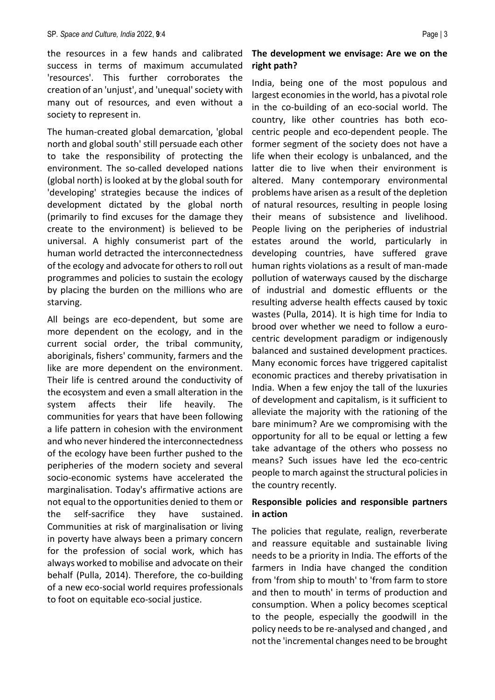the resources in a few hands and calibrated success in terms of maximum accumulated 'resources'. This further corroborates the creation of an 'unjust', and 'unequal' society with many out of resources, and even without a society to represent in.

The human-created global demarcation, 'global north and global south' still persuade each other to take the responsibility of protecting the environment. The so-called developed nations (global north) is looked at by the global south for 'developing' strategies because the indices of development dictated by the global north (primarily to find excuses for the damage they create to the environment) is believed to be universal. A highly consumerist part of the human world detracted the interconnectedness of the ecology and advocate for others to roll out programmes and policies to sustain the ecology by placing the burden on the millions who are starving.

All beings are eco-dependent, but some are more dependent on the ecology, and in the current social order, the tribal community, aboriginals, fishers' community, farmers and the like are more dependent on the environment. Their life is centred around the conductivity of the ecosystem and even a small alteration in the system affects their life heavily. The communities for years that have been following a life pattern in cohesion with the environment and who never hindered the interconnectedness of the ecology have been further pushed to the peripheries of the modern society and several socio-economic systems have accelerated the marginalisation. Today's affirmative actions are not equal to the opportunities denied to them or the self-sacrifice they have sustained. Communities at risk of marginalisation or living in poverty have always been a primary concern for the profession of social work, which has always worked to mobilise and advocate on their behalf (Pulla, 2014). Therefore, the co-building of a new eco-social world requires professionals to foot on equitable eco-social justice.

## **The development we envisage: Are we on the right path?**

India, being one of the most populous and largest economies in the world, has a pivotal role in the co-building of an eco-social world. The country, like other countries has both ecocentric people and eco-dependent people. The former segment of the society does not have a life when their ecology is unbalanced, and the latter die to live when their environment is altered. Many contemporary environmental problems have arisen as a result of the depletion of natural resources, resulting in people losing their means of subsistence and livelihood. People living on the peripheries of industrial estates around the world, particularly in developing countries, have suffered grave human rights violations as a result of man-made pollution of waterways caused by the discharge of industrial and domestic effluents or the resulting adverse health effects caused by toxic wastes (Pulla, 2014). It is high time for India to brood over whether we need to follow a eurocentric development paradigm or indigenously balanced and sustained development practices. Many economic forces have triggered capitalist economic practices and thereby privatisation in India. When a few enjoy the tall of the luxuries of development and capitalism, is it sufficient to alleviate the majority with the rationing of the bare minimum? Are we compromising with the opportunity for all to be equal or letting a few take advantage of the others who possess no means? Such issues have led the eco-centric people to march against the structural policies in the country recently.

## **Responsible policies and responsible partners in action**

The policies that regulate, realign, reverberate and reassure equitable and sustainable living needs to be a priority in India. The efforts of the farmers in India have changed the condition from 'from ship to mouth' to 'from farm to store and then to mouth' in terms of production and consumption. When a policy becomes sceptical to the people, especially the goodwill in the policy needs to be re-analysed and changed , and not the 'incremental changes need to be brought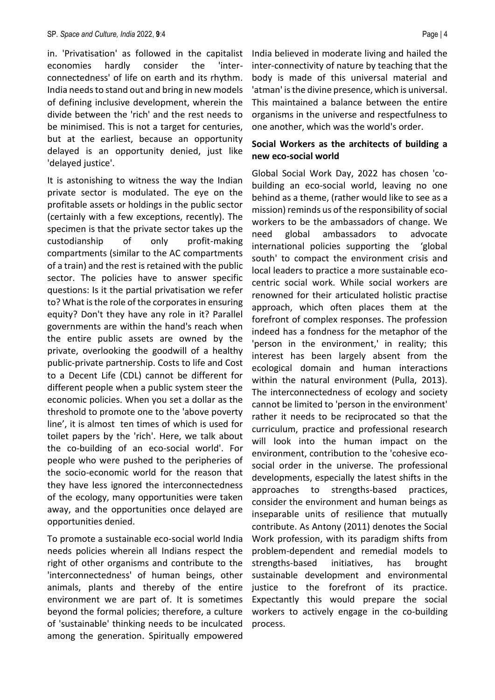in. 'Privatisation' as followed in the capitalist economies hardly consider the 'interconnectedness' of life on earth and its rhythm. India needs to stand out and bring in new models of defining inclusive development, wherein the divide between the 'rich' and the rest needs to be minimised. This is not a target for centuries, but at the earliest, because an opportunity delayed is an opportunity denied, just like 'delayed justice'.

It is astonishing to witness the way the Indian private sector is modulated. The eye on the profitable assets or holdings in the public sector (certainly with a few exceptions, recently). The specimen is that the private sector takes up the custodianship of only profit-making compartments (similar to the AC compartments of a train) and the rest is retained with the public sector. The policies have to answer specific questions: Is it the partial privatisation we refer to? What is the role of the corporates in ensuring equity? Don't they have any role in it? Parallel governments are within the hand's reach when the entire public assets are owned by the private, overlooking the goodwill of a healthy public-private partnership. Costs to life and Cost to a Decent Life (CDL) cannot be different for different people when a public system steer the economic policies. When you set a dollar as the threshold to promote one to the 'above poverty line', it is almost ten times of which is used for toilet papers by the 'rich'. Here, we talk about the co-building of an eco-social world'. For people who were pushed to the peripheries of the socio-economic world for the reason that they have less ignored the interconnectedness of the ecology, many opportunities were taken away, and the opportunities once delayed are opportunities denied.

To promote a sustainable eco-social world India needs policies wherein all Indians respect the right of other organisms and contribute to the 'interconnectedness' of human beings, other animals, plants and thereby of the entire environment we are part of. It is sometimes beyond the formal policies; therefore, a culture of 'sustainable' thinking needs to be inculcated among the generation. Spiritually empowered

India believed in moderate living and hailed the inter-connectivity of nature by teaching that the body is made of this universal material and 'atman' is the divine presence, which is universal. This maintained a balance between the entire organisms in the universe and respectfulness to one another, which was the world's order.

## **Social Workers as the architects of building a new eco-social world**

Global Social Work Day, 2022 has chosen 'cobuilding an eco-social world, leaving no one behind as a theme, (rather would like to see as a mission) reminds us of the responsibility of social workers to be the ambassadors of change. We need global ambassadors to advocate international policies supporting the 'global south' to compact the environment crisis and local leaders to practice a more sustainable ecocentric social work. While social workers are renowned for their articulated holistic practise approach, which often places them at the forefront of complex responses. The profession indeed has a fondness for the metaphor of the 'person in the environment,' in reality; this interest has been largely absent from the ecological domain and human interactions within the natural environment (Pulla, 2013). The interconnectedness of ecology and society cannot be limited to 'person in the environment' rather it needs to be reciprocated so that the curriculum, practice and professional research will look into the human impact on the environment, contribution to the 'cohesive ecosocial order in the universe. The professional developments, especially the latest shifts in the approaches to strengths-based practices, consider the environment and human beings as inseparable units of resilience that mutually contribute. As Antony (2011) denotes the Social Work profession, with its paradigm shifts from problem-dependent and remedial models to strengths-based initiatives, has brought sustainable development and environmental justice to the forefront of its practice. Expectantly this would prepare the social workers to actively engage in the co-building process.